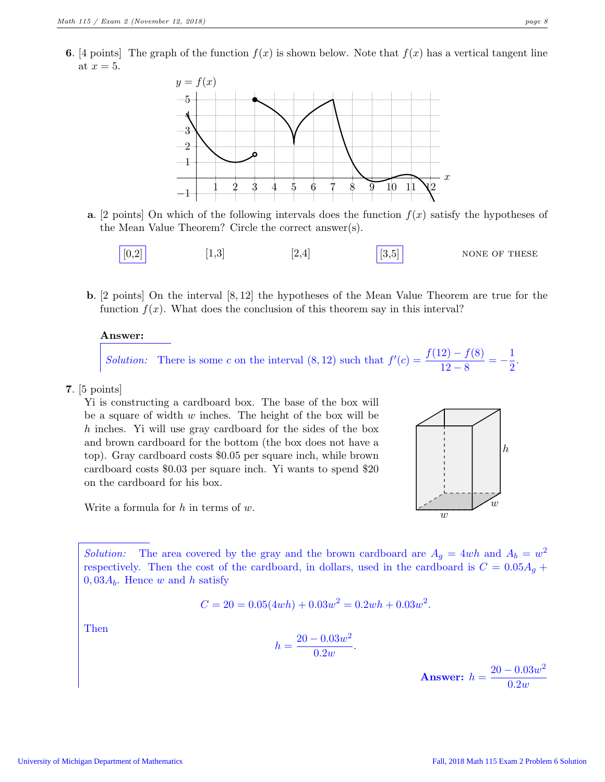**6.** [4 points] The graph of the function  $f(x)$  is shown below. Note that  $f(x)$  has a vertical tangent line at  $x = 5$ .



- a. [2 points] On which of the following intervals does the function  $f(x)$  satisfy the hypotheses of the Mean Value Theorem? Circle the correct answer(s).
	- $[0,2]$   $[1,3]$   $[2,4]$   $[3,5]$  NONE OF THESE
- b. [2 points] On the interval [8, 12] the hypotheses of the Mean Value Theorem are true for the function  $f(x)$ . What does the conclusion of this theorem say in this interval?

## Answer:

*Solution:* There is some c on the interval (8, 12) such that  $f'(c) = \frac{f(12) - f(8)}{12 - 8} = -\frac{1}{2}$  $\frac{1}{2}$ .

7. [5 points]

Yi is constructing a cardboard box. The base of the box will be a square of width  $w$  inches. The height of the box will be h inches. Yi will use gray cardboard for the sides of the box and brown cardboard for the bottom (the box does not have a top). Gray cardboard costs \$0.05 per square inch, while brown cardboard costs \$0.03 per square inch. Yi wants to spend \$20 on the cardboard for his box.



Write a formula for  $h$  in terms of  $w$ .

Solution: The area covered by the gray and the brown cardboard are  $A_g = 4wh$  and  $A_b = w^2$ respectively. Then the cost of the cardboard, in dollars, used in the cardboard is  $C = 0.05A<sub>q</sub> +$  $0,03A_b$ . Hence w and h satisfy

$$
C = 20 = 0.05(4wh) + 0.03w^{2} = 0.2wh + 0.03w^{2}.
$$

Then

$$
h = \frac{20 - 0.03w^2}{0.2w}.
$$

Answer:  $h = \frac{20 - 0.03w^2}{0.8}$  $0.2w$